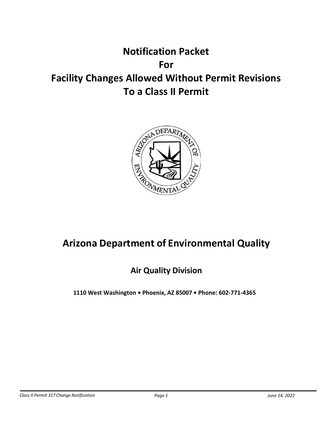# **Notification Packet For Facility Changes Allowed Without Permit Revisions To a Class II Permit**



# **Arizona Department of Environmental Quality**

# **Air Quality Division**

**1110 West Washington • Phoenix, AZ 85007 • Phone: 602-771-4365**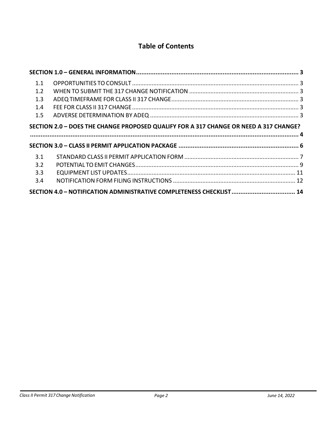## **Table of Contents**

| 1.1 |                                                                                       |  |
|-----|---------------------------------------------------------------------------------------|--|
| 1.2 |                                                                                       |  |
| 1.3 |                                                                                       |  |
| 1.4 |                                                                                       |  |
| 1.5 |                                                                                       |  |
|     | SECTION 2.0 - DOES THE CHANGE PROPOSED QUALIFY FOR A 317 CHANGE OR NEED A 317 CHANGE? |  |
|     |                                                                                       |  |
|     |                                                                                       |  |
| 3.1 |                                                                                       |  |
| 3.2 |                                                                                       |  |
| 3.3 |                                                                                       |  |
| 3.4 |                                                                                       |  |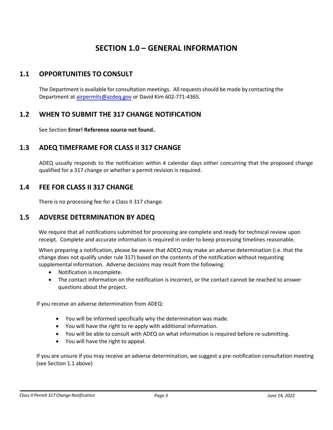## **SECTION 1.0 – GENERAL INFORMATION**

## <span id="page-2-1"></span><span id="page-2-0"></span>**1.1 OPPORTUNITIES TO CONSULT**

The Department is available for consultation meetings. All requests should be made by contacting the Department at [airpermits@azdeq.gov](mailto:airpermits@azdeq.gov) or David Kim 602-771-4365.

### <span id="page-2-2"></span>**1.2 WHEN TO SUBMIT THE 317 CHANGE NOTIFICATION**

See Section **Error! Reference source not found.**.

### <span id="page-2-3"></span>**1.3 ADEQ TIMEFRAME FOR CLASS II 317 CHANGE**

ADEQ usually responds to the notification within 4 calendar days either concurring that the proposed change qualified for a 317 change or whether a permit revision is required.

### <span id="page-2-4"></span>**1.4 FEE FOR CLASS II 317 CHANGE**

There is no processing fee for a Class II 317 change.

### <span id="page-2-5"></span>**1.5 ADVERSE DETERMINATION BY ADEQ**

We require that all notifications submitted for processing are complete and ready for technical review upon receipt. Complete and accurate information is required in order to keep processing timelines reasonable.

When preparing a notification, please be aware that ADEQ may make an adverse determination (i.e. that the change does not qualify under rule 317) based on the contents of the notification without requesting supplemental information. Adverse decisions may result from the following:

- Notification is incomplete.
- The contact information on the notification is incorrect, or the contact cannot be reached to answer questions about the project.

If you receive an adverse determination from ADEQ:

- You will be informed specifically why the determination was made.
- You will have the right to re-apply with additional information.
- You will be able to consult with ADEQ on what information is required before re-submitting.
- You will have the right to appeal.

If you are unsure if you may receive an adverse determination, we suggest a pre-notification consultation meeting (see Sectio[n 1.1](#page-2-1) above)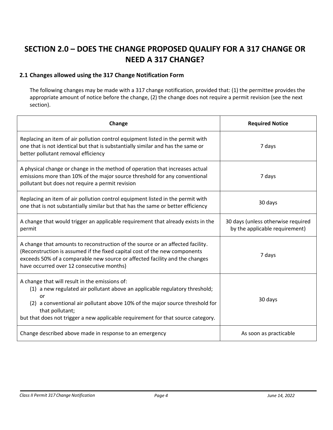# <span id="page-3-0"></span>**SECTION 2.0 – DOES THE CHANGE PROPOSED QUALIFY FOR A 317 CHANGE OR NEED A 317 CHANGE?**

#### <span id="page-3-1"></span>**2.1 Changes allowed using the 317 Change Notification Form**

The following changes may be made with a 317 change notification, provided that: (1) the permittee provides the appropriate amount of notice before the change, (2) the change does not require a permit revision (see the next section).

| Change                                                                                                                                                                                                                                                                                                                     | <b>Required Notice</b>                                               |
|----------------------------------------------------------------------------------------------------------------------------------------------------------------------------------------------------------------------------------------------------------------------------------------------------------------------------|----------------------------------------------------------------------|
| Replacing an item of air pollution control equipment listed in the permit with<br>one that is not identical but that is substantially similar and has the same or<br>better pollutant removal efficiency                                                                                                                   | 7 days                                                               |
| A physical change or change in the method of operation that increases actual<br>emissions more than 10% of the major source threshold for any conventional<br>pollutant but does not require a permit revision                                                                                                             | 7 days                                                               |
| Replacing an item of air pollution control equipment listed in the permit with<br>one that is not substantially similar but that has the same or better efficiency                                                                                                                                                         | 30 days                                                              |
| A change that would trigger an applicable requirement that already exists in the<br>permit                                                                                                                                                                                                                                 | 30 days (unless otherwise required<br>by the applicable requirement) |
| A change that amounts to reconstruction of the source or an affected facility.<br>(Reconstruction is assumed if the fixed capital cost of the new components<br>exceeds 50% of a comparable new source or affected facility and the changes<br>have occurred over 12 consecutive months)                                   | 7 days                                                               |
| A change that will result in the emissions of:<br>(1) a new regulated air pollutant above an applicable regulatory threshold;<br>or<br>(2) a conventional air pollutant above 10% of the major source threshold for<br>that pollutant;<br>but that does not trigger a new applicable requirement for that source category. | 30 days                                                              |
| Change described above made in response to an emergency                                                                                                                                                                                                                                                                    | As soon as practicable                                               |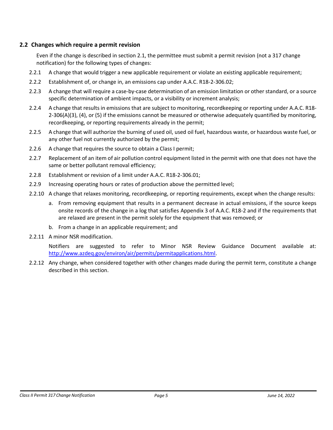#### **2.2 Changes which require a permit revision**

Even if the change is described in section 2.1, the permittee must submit a permit revision (not a 317 change notification) for the following types of changes:

- 2.2.1 A change that would trigger a new applicable requirement or violate an existing applicable requirement;
- 2.2.2 Establishment of, or change in, an emissions cap under A.A.C. R18-2-306.02;
- 2.2.3 A change that will require a case-by-case determination of an emission limitation or other standard, or a source specific determination of ambient impacts, or a visibility or increment analysis;
- 2.2.4 A change that results in emissions that are subject to monitoring, recordkeeping or reporting under A.A.C. R18- 2-306(A)(3), (4), or (5) if the emissions cannot be measured or otherwise adequately quantified by monitoring, recordkeeping, or reporting requirements already in the permit;
- 2.2.5 A change that will authorize the burning of used oil, used oil fuel, hazardous waste, or hazardous waste fuel, or any other fuel not currently authorized by the permit;
- 2.2.6 A change that requires the source to obtain a Class I permit;
- 2.2.7 Replacement of an item of air pollution control equipment listed in the permit with one that does not have the same or better pollutant removal efficiency;
- 2.2.8 Establishment or revision of a limit under A.A.C. R18-2-306.01;
- 2.2.9 Increasing operating hours or rates of production above the permitted level;
- 2.2.10 A change that relaxes monitoring, recordkeeping, or reporting requirements, except when the change results:
	- a. From removing equipment that results in a permanent decrease in actual emissions, if the source keeps onsite records of the change in a log that satisfies Appendix 3 of A.A.C. R18-2 and if the requirements that are relaxed are present in the permit solely for the equipment that was removed; or
	- b. From a change in an applicable requirement; and
- 2.2.11 A minor NSR modification.

Notifiers are suggested to refer to Minor NSR Review Guidance Document available at: [http://www.azdeq.gov/environ/air/permits/permitapplications.html.](http://www.azdeq.gov/environ/air/permits/permitapplications.html)

2.2.12 Any change, when considered together with other changes made during the permit term, constitute a change described in this section.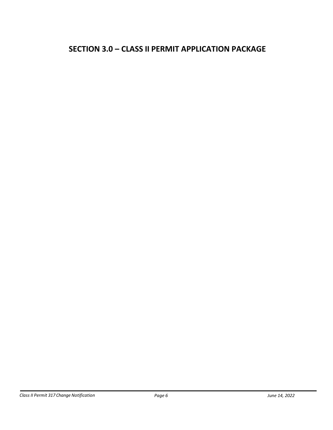# <span id="page-5-0"></span>**SECTION 3.0 – CLASS II PERMIT APPLICATION PACKAGE**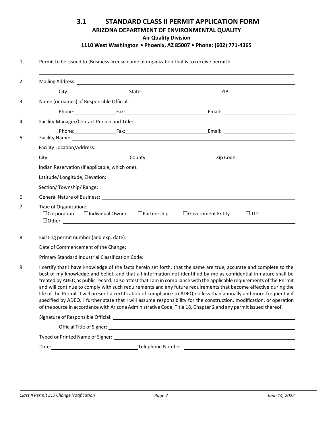### **3.1 STANDARD CLASS II PERMIT APPLICATION FORM ARIZONA DEPARTMENT OF ENVIRONMENTAL QUALITY Air Quality Division 1110 West Washington • Phoenix, AZ 85007 • Phone: (602) 771-4365**

<span id="page-6-0"></span>1. Permit to be issued to (Business license name of organization that is to receive permit):

|                       | Facility Name: Department of the Contract of the Contract of the Contract of the Contract of the Contract of the Contract of the Contract of the Contract of the Contract of the Contract of the Contract of the Contract of t                                                                                                                                                                                                                                                                                                                                                                                                                                                                                                                                                                                                                              |                          |            |
|-----------------------|-------------------------------------------------------------------------------------------------------------------------------------------------------------------------------------------------------------------------------------------------------------------------------------------------------------------------------------------------------------------------------------------------------------------------------------------------------------------------------------------------------------------------------------------------------------------------------------------------------------------------------------------------------------------------------------------------------------------------------------------------------------------------------------------------------------------------------------------------------------|--------------------------|------------|
|                       |                                                                                                                                                                                                                                                                                                                                                                                                                                                                                                                                                                                                                                                                                                                                                                                                                                                             |                          |            |
|                       |                                                                                                                                                                                                                                                                                                                                                                                                                                                                                                                                                                                                                                                                                                                                                                                                                                                             |                          |            |
|                       |                                                                                                                                                                                                                                                                                                                                                                                                                                                                                                                                                                                                                                                                                                                                                                                                                                                             |                          |            |
|                       |                                                                                                                                                                                                                                                                                                                                                                                                                                                                                                                                                                                                                                                                                                                                                                                                                                                             |                          |            |
|                       |                                                                                                                                                                                                                                                                                                                                                                                                                                                                                                                                                                                                                                                                                                                                                                                                                                                             |                          |            |
|                       |                                                                                                                                                                                                                                                                                                                                                                                                                                                                                                                                                                                                                                                                                                                                                                                                                                                             |                          |            |
| Type of Organization: | $\Box$ Corporation $\Box$ Individual Owner $\Box$ Partnership                                                                                                                                                                                                                                                                                                                                                                                                                                                                                                                                                                                                                                                                                                                                                                                               | $\Box$ Government Entity | $\Box$ LLC |
|                       |                                                                                                                                                                                                                                                                                                                                                                                                                                                                                                                                                                                                                                                                                                                                                                                                                                                             |                          |            |
|                       |                                                                                                                                                                                                                                                                                                                                                                                                                                                                                                                                                                                                                                                                                                                                                                                                                                                             |                          |            |
|                       |                                                                                                                                                                                                                                                                                                                                                                                                                                                                                                                                                                                                                                                                                                                                                                                                                                                             |                          |            |
|                       | I certify that I have knowledge of the facts herein set forth, that the same are true, accurate and complete to the<br>best of my knowledge and belief, and that all information not identified by me as confidential in nature shall be<br>treated by ADEQ as public record. I also attest that I am in compliance with the applicable requirements of the Permit<br>and will continue to comply with such requirements and any future requirements that become effective during the<br>life of the Permit. I will present a certification of compliance to ADEQ no less than annually and more frequently if<br>specified by ADEQ. I further state that I will assume responsibility for the construction, modification, or operation<br>of the source in accordance with Arizona Administrative Code, Title 18, Chapter 2 and any permit issued thereof. |                          |            |
|                       |                                                                                                                                                                                                                                                                                                                                                                                                                                                                                                                                                                                                                                                                                                                                                                                                                                                             |                          |            |
|                       |                                                                                                                                                                                                                                                                                                                                                                                                                                                                                                                                                                                                                                                                                                                                                                                                                                                             |                          |            |
|                       |                                                                                                                                                                                                                                                                                                                                                                                                                                                                                                                                                                                                                                                                                                                                                                                                                                                             |                          |            |
|                       |                                                                                                                                                                                                                                                                                                                                                                                                                                                                                                                                                                                                                                                                                                                                                                                                                                                             |                          |            |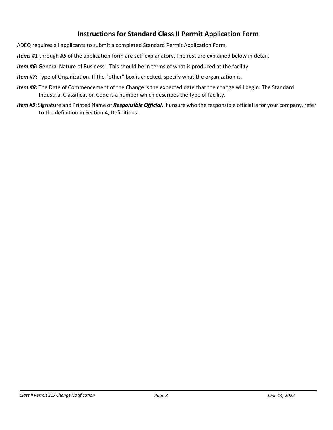## **Instructions for Standard Class II Permit Application Form**

- ADEQ requires all applicants to submit a completed Standard Permit Application Form.
- *Items #1* through *#5* of the application form are self-explanatory. The rest are explained below in detail.
- *Item #6:* General Nature of Business *-* This should be in terms of what is produced at the facility.
- **Item #7:** Type of Organization. If the "other" box is checked, specify what the organization is.
- *Item #8***:** The Date of Commencement of the Change is the expected date that the change will begin. The Standard Industrial Classification Code is a number which describes the type of facility.
- *Item #9***:** Signature and Printed Name of *Responsible Official*. If unsure who the responsible official is for your company, refer to the definition in Section 4, Definitions.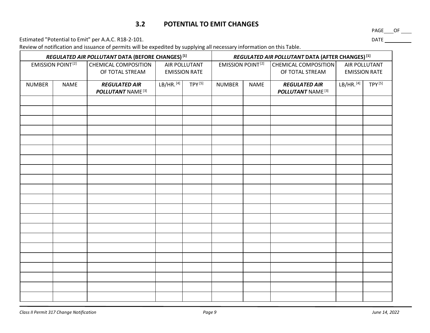### **3.2 POTENTIAL TO EMIT CHANGES**

Estimated "Potential to Emit" per A.A.C. R18-2-101. <br>
<u>Estimated "Potential to Emit" per A.A.C. R18-2-101.</u>

Review of notification and issuance of permits will be expedited by supplying all necessary information on this Table.

<span id="page-8-0"></span>

| REGULATED AIR POLLUTANT DATA (BEFORE CHANGES) [1] |                          |                                                             | REGULATED AIR POLLUTANT DATA (AFTER CHANGES) [1] |                                       |                          |             |                                                             |                                       |                    |
|---------------------------------------------------|--------------------------|-------------------------------------------------------------|--------------------------------------------------|---------------------------------------|--------------------------|-------------|-------------------------------------------------------------|---------------------------------------|--------------------|
|                                                   | <b>EMISSION POINT[2]</b> | <b>CHEMICAL COMPOSITION</b><br>OF TOTAL STREAM              |                                                  | AIR POLLUTANT<br><b>EMISSION RATE</b> | <b>EMISSION POINT[2]</b> |             | CHEMICAL COMPOSITION<br>OF TOTAL STREAM                     | AIR POLLUTANT<br><b>EMISSION RATE</b> |                    |
| <b>NUMBER</b>                                     | <b>NAME</b>              | <b>REGULATED AIR</b><br><b>POLLUTANT NAME<sup>[3]</sup></b> | LB/HR.[4]                                        | TPY <sup>[5]</sup>                    | <b>NUMBER</b>            | <b>NAME</b> | <b>REGULATED AIR</b><br><b>POLLUTANT NAME<sup>[3]</sup></b> | LB/HR.[4]                             | TPY <sup>[5]</sup> |
|                                                   |                          |                                                             |                                                  |                                       |                          |             |                                                             |                                       |                    |
|                                                   |                          |                                                             |                                                  |                                       |                          |             |                                                             |                                       |                    |
|                                                   |                          |                                                             |                                                  |                                       |                          |             |                                                             |                                       |                    |
|                                                   |                          |                                                             |                                                  |                                       |                          |             |                                                             |                                       |                    |
|                                                   |                          |                                                             |                                                  |                                       |                          |             |                                                             |                                       |                    |
|                                                   |                          |                                                             |                                                  |                                       |                          |             |                                                             |                                       |                    |
|                                                   |                          |                                                             |                                                  |                                       |                          |             |                                                             |                                       |                    |
|                                                   |                          |                                                             |                                                  |                                       |                          |             |                                                             |                                       |                    |
|                                                   |                          |                                                             |                                                  |                                       |                          |             |                                                             |                                       |                    |
|                                                   |                          |                                                             |                                                  |                                       |                          |             |                                                             |                                       |                    |
|                                                   |                          |                                                             |                                                  |                                       |                          |             |                                                             |                                       |                    |
|                                                   |                          |                                                             |                                                  |                                       |                          |             |                                                             |                                       |                    |
|                                                   |                          |                                                             |                                                  |                                       |                          |             |                                                             |                                       |                    |
|                                                   |                          |                                                             |                                                  |                                       |                          |             |                                                             |                                       |                    |
|                                                   |                          |                                                             |                                                  |                                       |                          |             |                                                             |                                       |                    |
|                                                   |                          |                                                             |                                                  |                                       |                          |             |                                                             |                                       |                    |
|                                                   |                          |                                                             |                                                  |                                       |                          |             |                                                             |                                       |                    |
|                                                   |                          |                                                             |                                                  |                                       |                          |             |                                                             |                                       |                    |

PAGE\_\_\_OF \_\_\_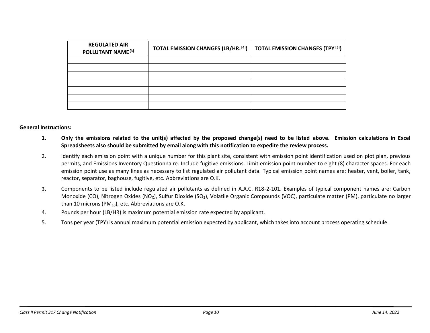| <b>REGULATED AIR</b><br>POLLUTANT NAME <sup>[3]</sup> | <b>TOTAL EMISSION CHANGES (LB/HR. [4])</b> | <b>TOTAL EMISSION CHANGES (TPY [5])</b> |
|-------------------------------------------------------|--------------------------------------------|-----------------------------------------|
|                                                       |                                            |                                         |
|                                                       |                                            |                                         |
|                                                       |                                            |                                         |
|                                                       |                                            |                                         |
|                                                       |                                            |                                         |
|                                                       |                                            |                                         |
|                                                       |                                            |                                         |

#### **General Instructions:**

- **1. Only the emissions related to the unit(s) affected by the proposed change(s) need to be listed above. Emission calculations in Excel Spreadsheets also should be submitted by email along with this notification to expedite the review process.**
- 2. Identify each emission point with a unique number for this plant site, consistent with emission point identification used on plot plan, previous permits, and Emissions Inventory Questionnaire. Include fugitive emissions. Limit emission point number to eight (8) character spaces. For each emission point use as many lines as necessary to list regulated air pollutant data. Typical emission point names are: heater, vent, boiler, tank, reactor, separator, baghouse, fugitive, etc. Abbreviations are O.K.
- 3. Components to be listed include regulated air pollutants as defined in A.A.C. R18-2-101. Examples of typical component names are: Carbon Monoxide (CO), Nitrogen Oxides (NO<sub>x</sub>), Sulfur Dioxide (SO<sub>2</sub>), Volatile Organic Compounds (VOC), particulate matter (PM), particulate no larger than 10 microns (PM $_{10}$ ), etc. Abbreviations are O.K.
- 4. Pounds per hour (LB/HR) is maximum potential emission rate expected by applicant.
- 5. Tons per year (TPY) is annual maximum potential emission expected by applicant, which takes into account process operating schedule.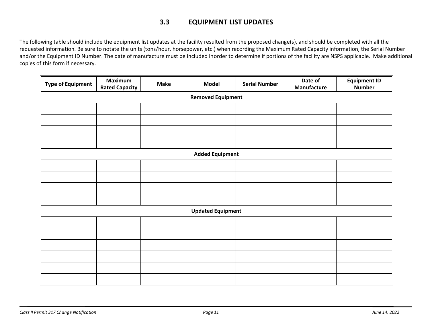## <span id="page-10-0"></span>**3.3 EQUIPMENT LIST UPDATES**

The following table should include the equipment list updates at the facility resulted from the proposed change(s), and should be completed with all the requested information. Be sure to notate the units (tons/hour, horsepower, etc.) when recording the Maximum Rated Capacity information, the Serial Number and/or the Equipment ID Number. The date of manufacture must be included inorder to determine if portions of the facility are NSPS applicable. Make additional copies of this form if necessary.

| <b>Type of Equipment</b> | <b>Maximum</b><br><b>Rated Capacity</b> | <b>Make</b> | <b>Model</b>             | <b>Serial Number</b> | Date of<br>Manufacture | <b>Equipment ID</b><br><b>Number</b> |  |  |
|--------------------------|-----------------------------------------|-------------|--------------------------|----------------------|------------------------|--------------------------------------|--|--|
| <b>Removed Equipment</b> |                                         |             |                          |                      |                        |                                      |  |  |
|                          |                                         |             |                          |                      |                        |                                      |  |  |
|                          |                                         |             |                          |                      |                        |                                      |  |  |
|                          |                                         |             |                          |                      |                        |                                      |  |  |
|                          |                                         |             |                          |                      |                        |                                      |  |  |
|                          |                                         |             | <b>Added Equipment</b>   |                      |                        |                                      |  |  |
|                          |                                         |             |                          |                      |                        |                                      |  |  |
|                          |                                         |             |                          |                      |                        |                                      |  |  |
|                          |                                         |             |                          |                      |                        |                                      |  |  |
|                          |                                         |             |                          |                      |                        |                                      |  |  |
|                          |                                         |             | <b>Updated Equipment</b> |                      |                        |                                      |  |  |
|                          |                                         |             |                          |                      |                        |                                      |  |  |
|                          |                                         |             |                          |                      |                        |                                      |  |  |
|                          |                                         |             |                          |                      |                        |                                      |  |  |
|                          |                                         |             |                          |                      |                        |                                      |  |  |
|                          |                                         |             |                          |                      |                        |                                      |  |  |
|                          |                                         |             |                          |                      |                        |                                      |  |  |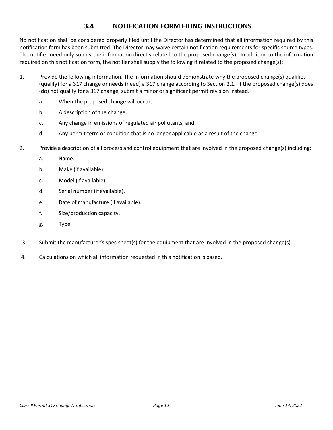## **3.4 NOTIFICATION FORM FILING INSTRUCTIONS**

<span id="page-11-0"></span>No notification shall be considered properly filed until the Director has determined that all information required by this notification form has been submitted. The Director may waive certain notification requirements for specific source types. The notifier need only supply the information directly related to the proposed change(s). In addition to the information required on this notification form, the notifier shall supply the following if related to the proposed change(s):

- 1. Provide the following information. The information should demonstrate why the proposed change(s) qualifies (qualify) for a 317 change or needs (need) a 317 change according to Section [2.1.](#page-3-1) If the proposed change(s) does (do) not qualify for a 317 change, submit a minor or significant permit revision instead.
	- a. When the proposed change will occur,
	- b. A description of the change,
	- c. Any change in emissions of regulated air pollutants, and
	- d. Any permit term or condition that is no longer applicable as a result of the change.
- 2. Provide a description of all process and control equipment that are involved in the proposed change(s) including:
	- a. Name.
	- b. Make (if available).
	- c. Model (if available).
	- d. Serial number (if available).
	- e. Date of manufacture (if available).
	- f. Size/production capacity.
	- g. Type.
- 3. Submit the manufacturer's spec sheet(s) for the equipment that are involved in the proposed change(s).
- 4. Calculations on which all information requested in this notification is based.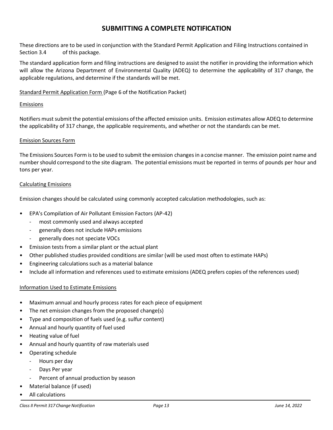### **SUBMITTING A COMPLETE NOTIFICATION**

These directions are to be used in conjunction with the Standard Permit Application and Filing Instructions contained in Sectio[n 3.4](#page-11-0) of this package.

The standard application form and filing instructions are designed to assist the notifier in providing the information which will allow the Arizona Department of Environmental Quality (ADEQ) to determine the applicability of 317 change, the applicable regulations, and determine if the standards will be met.

#### Standard Permit Application Form (Page 6 of the Notification Packet)

#### Emissions

Notifiers must submit the potential emissions of the affected emission units. Emission estimates allow ADEQ to determine the applicability of 317 change, the applicable requirements, and whether or not the standards can be met.

#### Emission Sources Form

The Emissions Sources Form is to be used to submit the emission changes in a concise manner. The emission point name and number should correspond to the site diagram. The potential emissions must be reported in terms of pounds per hour and tons per year.

#### Calculating Emissions

Emission changes should be calculated using commonly accepted calculation methodologies, such as:

- EPA's Compilation of Air Pollutant Emission Factors (AP-42)
	- most commonly used and always accepted
	- generally does not include HAPs emissions
	- generally does not speciate VOCs
- Emission tests from a similar plant or the actual plant
- Other published studies provided conditions are similar (will be used most often to estimate HAPs)
- Engineering calculations such as a material balance
- Include all information and references used to estimate emissions (ADEQ prefers copies of the references used)

#### Information Used to Estimate Emissions

- Maximum annual and hourly process rates for each piece of equipment
- The net emission changes from the proposed change(s)
- Type and composition of fuels used (e.g. sulfur content)
- Annual and hourly quantity of fuel used
- Heating value of fuel
- Annual and hourly quantity of raw materials used
- Operating schedule
	- Hours per day
	- Days Per year
	- Percent of annual production by season
- Material balance (if used)
- All calculations